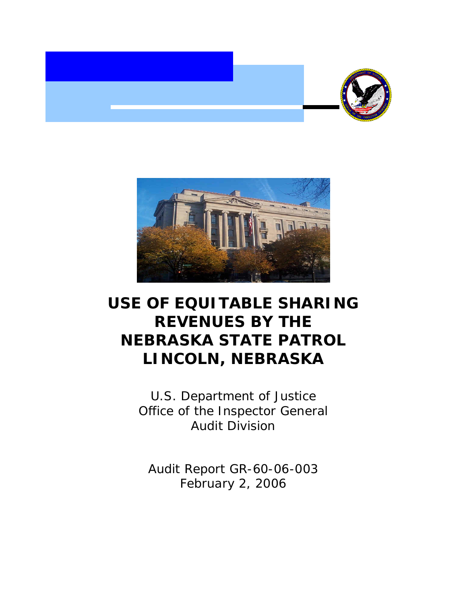



# **USE OF EQUITABLE SHARING REVENUES BY THE NEBRASKA STATE PATROL LINCOLN, NEBRASKA**

U.S. Department of Justice Office of the Inspector General Audit Division

Audit Report GR-60-06-003 February 2, 2006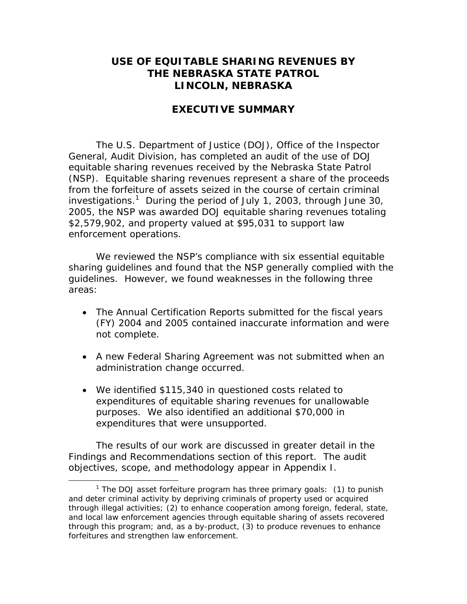## **USE OF EQUITABLE SHARING REVENUES BY THE NEBRASKA STATE PATROL LINCOLN, NEBRASKA**

#### **EXECUTIVE SUMMARY**

 (NSP). Equitable sharing revenues represent a share of the proceeds The U.S. Department of Justice (DOJ), Office of the Inspector General, Audit Division, has completed an audit of the use of DOJ equitable sharing revenues received by the Nebraska State Patrol from the forfeiture of assets seized in the course of certain criminal investigations.<sup>1</sup> During the period of July 1, 2003, through June 30, 2005, the NSP was awarded DOJ equitable sharing revenues totaling \$2,579,902, and property valued at \$95,031 to support law enforcement operations.

We reviewed the NSP's compliance with six essential equitable sharing guidelines and found that the NSP generally complied with the guidelines. However, we found weaknesses in the following three areas:

- The Annual Certification Reports submitted for the fiscal years (FY) 2004 and 2005 contained inaccurate information and were not complete.
- A new Federal Sharing Agreement was not submitted when an administration change occurred.
- We identified \$115,340 in questioned costs related to expenditures of equitable sharing revenues for unallowable purposes. We also identified an additional \$70,000 in expenditures that were unsupported.

The results of our work are discussed in greater detail in the Findings and Recommendations section of this report. The audit objectives, scope, and methodology appear in Appendix I.

 $\overline{a}$ 

<sup>&</sup>lt;sup>1</sup> The DOJ asset forfeiture program has three primary goals: (1) to punish and deter criminal activity by depriving criminals of property used or acquired through illegal activities; (2) to enhance cooperation among foreign, federal, state, and local law enforcement agencies through equitable sharing of assets recovered through this program; and, as a by-product, (3) to produce revenues to enhance forfeitures and strengthen law enforcement.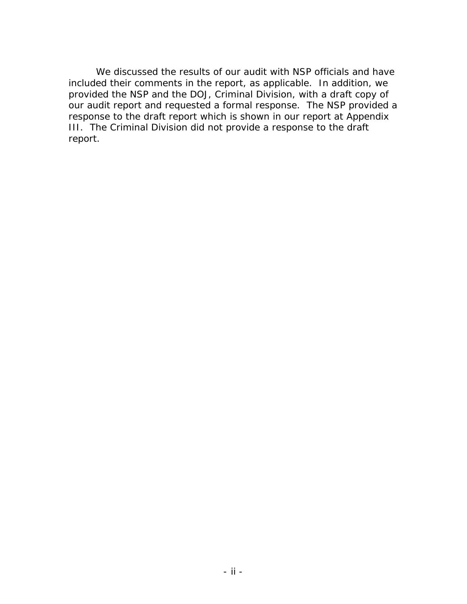We discussed the results of our audit with NSP officials and have included their comments in the report, as applicable. In addition, we provided the NSP and the DOJ, Criminal Division, with a draft copy of our audit report and requested a formal response. The NSP provided a response to the draft report which is shown in our report at Appendix III. The Criminal Division did not provide a response to the draft report.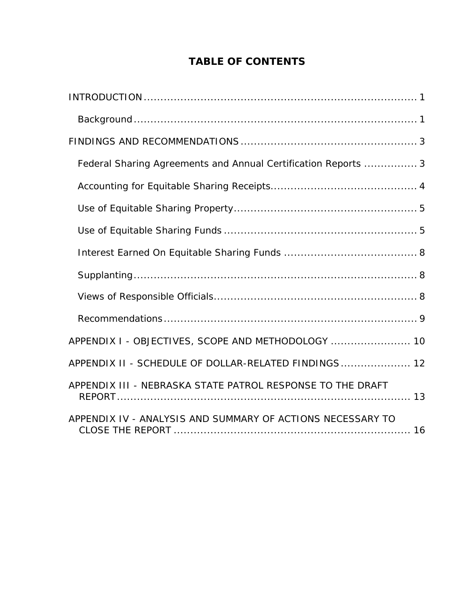# **TABLE OF CONTENTS**

| Federal Sharing Agreements and Annual Certification Reports  3 |
|----------------------------------------------------------------|
|                                                                |
|                                                                |
|                                                                |
|                                                                |
|                                                                |
|                                                                |
|                                                                |
| APPENDIX I - OBJECTIVES, SCOPE AND METHODOLOGY  10             |
| APPENDIX II - SCHEDULE OF DOLLAR-RELATED FINDINGS 12           |
| APPENDIX III - NEBRASKA STATE PATROL RESPONSE TO THE DRAFT     |
| APPENDIX IV - ANALYSIS AND SUMMARY OF ACTIONS NECESSARY TO     |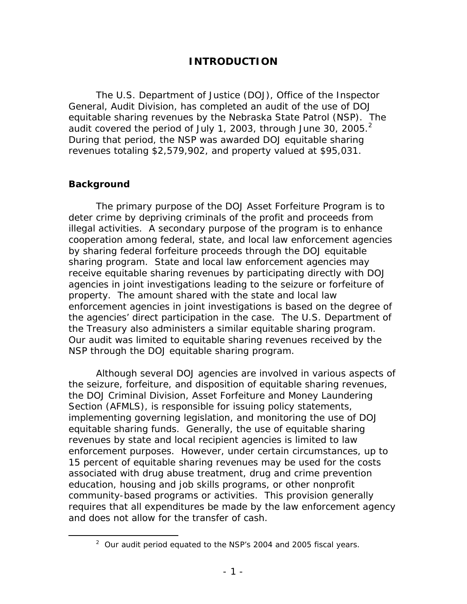## **INTRODUCTION**

audit covered the period of July 1, 2003, through June 30, 2005. $2$ The U.S. Department of Justice (DOJ), Office of the Inspector General, Audit Division, has completed an audit of the use of DOJ equitable sharing revenues by the Nebraska State Patrol (NSP). The During that period, the NSP was awarded DOJ equitable sharing revenues totaling \$2,579,902, and property valued at \$95,031.

#### **Background**

1

the Treasury also administers a similar equitable sharing program. The primary purpose of the DOJ Asset Forfeiture Program is to deter crime by depriving criminals of the profit and proceeds from illegal activities. A secondary purpose of the program is to enhance cooperation among federal, state, and local law enforcement agencies by sharing federal forfeiture proceeds through the DOJ equitable sharing program. State and local law enforcement agencies may receive equitable sharing revenues by participating directly with DOJ agencies in joint investigations leading to the seizure or forfeiture of property. The amount shared with the state and local law enforcement agencies in joint investigations is based on the degree of the agencies' direct participation in the case. The U.S. Department of Our audit was limited to equitable sharing revenues received by the NSP through the DOJ equitable sharing program.

 equitable sharing funds. Generally, the use of equitable sharing enforcement purposes. However, under certain circumstances, up to Although several DOJ agencies are involved in various aspects of the seizure, forfeiture, and disposition of equitable sharing revenues, the DOJ Criminal Division, Asset Forfeiture and Money Laundering Section (AFMLS), is responsible for issuing policy statements, implementing governing legislation, and monitoring the use of DOJ revenues by state and local recipient agencies is limited to law 15 percent of equitable sharing revenues may be used for the costs associated with drug abuse treatment, drug and crime prevention education, housing and job skills programs, or other nonprofit community-based programs or activities. This provision generally requires that all expenditures be made by the law enforcement agency and does not allow for the transfer of cash.

 $2$  Our audit period equated to the NSP's 2004 and 2005 fiscal years.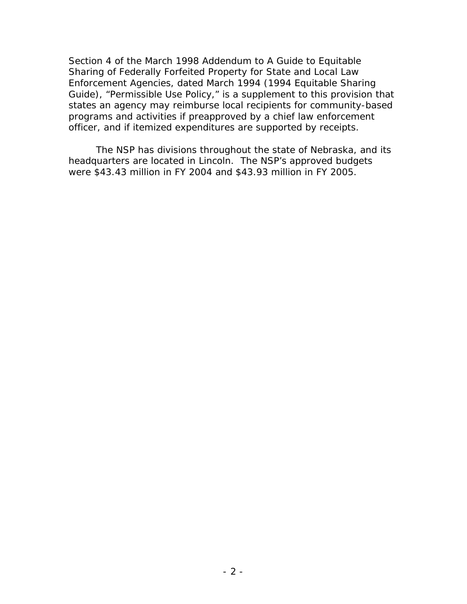Section 4 of the March 1998 Addendum to *A Guide to Equitable Sharing of Federally Forfeited Property for State and Local Law Enforcement Agencies*, dated March 1994 (1994 Equitable Sharing Guide), "Permissible Use Policy," is a supplement to this provision that states an agency may reimburse local recipients for community-based programs and activities if preapproved by a chief law enforcement officer, and if itemized expenditures are supported by receipts.

were \$43.43 million in FY 2004 and \$43.93 million in FY 2005. The NSP has divisions throughout the state of Nebraska, and its headquarters are located in Lincoln. The NSP's approved budgets were \$43.43 million in FY 2004 and \$43.93 million in FY 2005.<br>
- 2 -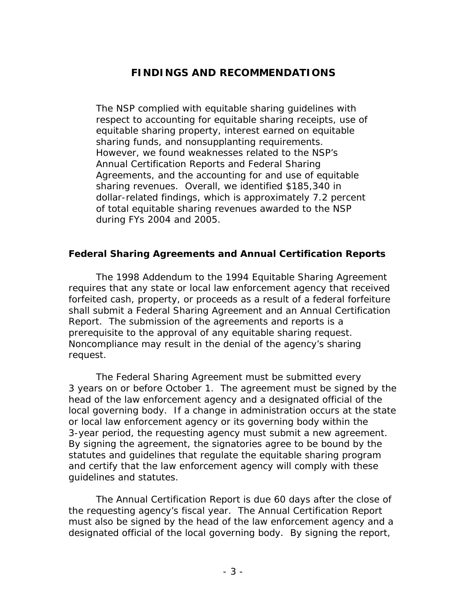# **FINDINGS AND RECOMMENDATIONS**

The NSP complied with equitable sharing guidelines with respect to accounting for equitable sharing receipts, use of equitable sharing property, interest earned on equitable sharing funds, and nonsupplanting requirements. However, we found weaknesses related to the NSP's Annual Certification Reports and Federal Sharing Agreements, and the accounting for and use of equitable sharing revenues. Overall, we identified \$185,340 in dollar-related findings, which is approximately 7.2 percent of total equitable sharing revenues awarded to the NSP during FYs 2004 and 2005.

#### **Federal Sharing Agreements and Annual Certification Reports**

request. The 1998 Addendum to the 1994 Equitable Sharing Agreement requires that any state or local law enforcement agency that received forfeited cash, property, or proceeds as a result of a federal forfeiture shall submit a Federal Sharing Agreement and an Annual Certification Report. The submission of the agreements and reports is a prerequisite to the approval of any equitable sharing request. Noncompliance may result in the denial of the agency's sharing

The Federal Sharing Agreement must be submitted every 3 years on or before October 1. The agreement must be signed by the head of the law enforcement agency and a designated official of the local governing body. If a change in administration occurs at the state or local law enforcement agency or its governing body within the 3-year period, the requesting agency must submit a new agreement. By signing the agreement, the signatories agree to be bound by the statutes and guidelines that regulate the equitable sharing program and certify that the law enforcement agency will comply with these guidelines and statutes.

The Annual Certification Report is due 60 days after the close of the requesting agency's fiscal year. The Annual Certification Report must also be signed by the head of the law enforcement agency and a designated official of the local governing body. By signing the report,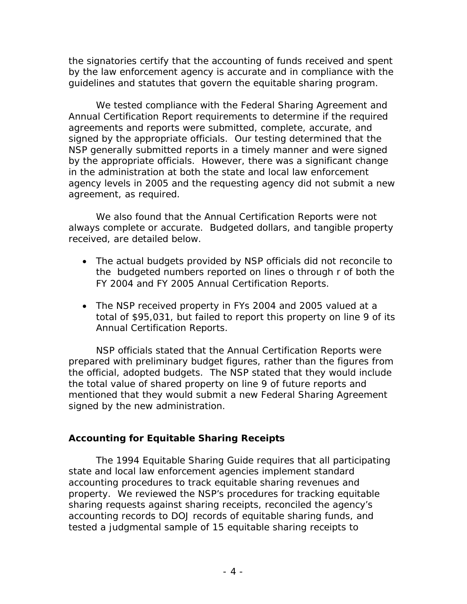the signatories certify that the accounting of funds received and spent by the law enforcement agency is accurate and in compliance with the guidelines and statutes that govern the equitable sharing program.

We tested compliance with the Federal Sharing Agreement and Annual Certification Report requirements to determine if the required agreements and reports were submitted, complete, accurate, and signed by the appropriate officials. Our testing determined that the NSP generally submitted reports in a timely manner and were signed by the appropriate officials. However, there was a significant change in the administration at both the state and local law enforcement agency levels in 2005 and the requesting agency did not submit a new agreement, as required.

We also found that the Annual Certification Reports were not always complete or accurate. Budgeted dollars, and tangible property received, are detailed below.

- The actual budgets provided by NSP officials did not reconcile to the budgeted numbers reported on lines o through r of both the FY 2004 and FY 2005 Annual Certification Reports.
- The NSP received property in FYs 2004 and 2005 valued at a total of \$95,031, but failed to report this property on line 9 of its Annual Certification Reports.

NSP officials stated that the Annual Certification Reports were prepared with preliminary budget figures, rather than the figures from the official, adopted budgets. The NSP stated that they would include the total value of shared property on line 9 of future reports and mentioned that they would submit a new Federal Sharing Agreement signed by the new administration.

## **Accounting for Equitable Sharing Receipts**

The 1994 Equitable Sharing Guide requires that all participating state and local law enforcement agencies implement standard accounting procedures to track equitable sharing revenues and property. We reviewed the NSP's procedures for tracking equitable sharing requests against sharing receipts, reconciled the agency's accounting records to DOJ records of equitable sharing funds, and tested a judgmental sample of 15 equitable sharing receipts to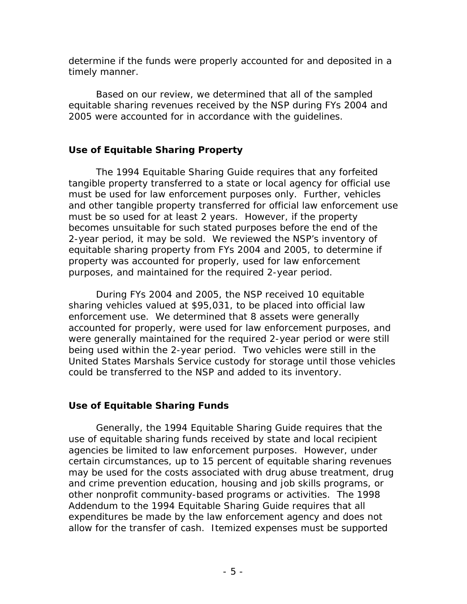determine if the funds were properly accounted for and deposited in a timely manner.

Based on our review, we determined that all of the sampled equitable sharing revenues received by the NSP during FYs 2004 and 2005 were accounted for in accordance with the guidelines.

## **Use of Equitable Sharing Property**

The 1994 Equitable Sharing Guide requires that any forfeited tangible property transferred to a state or local agency for official use must be used for law enforcement purposes only. Further, vehicles and other tangible property transferred for official law enforcement use must be so used for at least 2 years. However, if the property becomes unsuitable for such stated purposes before the end of the 2-year period, it may be sold. We reviewed the NSP's inventory of equitable sharing property from FYs 2004 and 2005, to determine if property was accounted for properly, used for law enforcement purposes, and maintained for the required 2-year period.

 enforcement use. We determined that 8 assets were generally being used within the 2-year period. Two vehicles were still in the could be transferred to the NSP and added to its inventory. During FYs 2004 and 2005, the NSP received 10 equitable sharing vehicles valued at \$95,031, to be placed into official law accounted for properly, were used for law enforcement purposes, and were generally maintained for the required 2-year period or were still United States Marshals Service custody for storage until those vehicles

# **Use of Equitable Sharing Funds**

Generally, the 1994 Equitable Sharing Guide requires that the use of equitable sharing funds received by state and local recipient agencies be limited to law enforcement purposes. However, under certain circumstances, up to 15 percent of equitable sharing revenues may be used for the costs associated with drug abuse treatment, drug and crime prevention education, housing and job skills programs, or other nonprofit community-based programs or activities. The 1998 Addendum to the 1994 Equitable Sharing Guide requires that all expenditures be made by the law enforcement agency and does not allow for the transfer of cash. Itemized expenses must be supported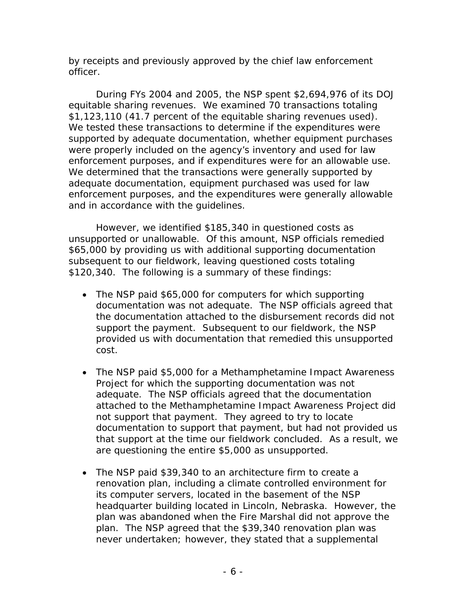by receipts and previously approved by the chief law enforcement officer.

\$1,123,110 (41.7 percent of the equitable sharing revenues used). and in accordance with the guidelines. During FYs 2004 and 2005, the NSP spent \$2,694,976 of its DOJ equitable sharing revenues. We examined 70 transactions totaling We tested these transactions to determine if the expenditures were supported by adequate documentation, whether equipment purchases were properly included on the agency's inventory and used for law enforcement purposes, and if expenditures were for an allowable use. We determined that the transactions were generally supported by adequate documentation, equipment purchased was used for law enforcement purposes, and the expenditures were generally allowable

However, we identified \$185,340 in questioned costs as unsupported or unallowable. Of this amount, NSP officials remedied \$65,000 by providing us with additional supporting documentation subsequent to our fieldwork, leaving questioned costs totaling \$120,340. The following is a summary of these findings:

- The NSP paid \$65,000 for computers for which supporting documentation was not adequate. The NSP officials agreed that the documentation attached to the disbursement records did not support the payment. Subsequent to our fieldwork, the NSP provided us with documentation that remedied this unsupported cost.
- The NSP paid \$5,000 for a Methamphetamine Impact Awareness Project for which the supporting documentation was not adequate. The NSP officials agreed that the documentation attached to the Methamphetamine Impact Awareness Project did not support that payment. They agreed to try to locate documentation to support that payment, but had not provided us that support at the time our fieldwork concluded. As a result, we are questioning the entire \$5,000 as unsupported.
- The NSP paid \$39,340 to an architecture firm to create a renovation plan, including a climate controlled environment for its computer servers, located in the basement of the NSP headquarter building located in Lincoln, Nebraska. However, the plan was abandoned when the Fire Marshal did not approve the plan. The NSP agreed that the \$39,340 renovation plan was never undertaken; however, they stated that a supplemental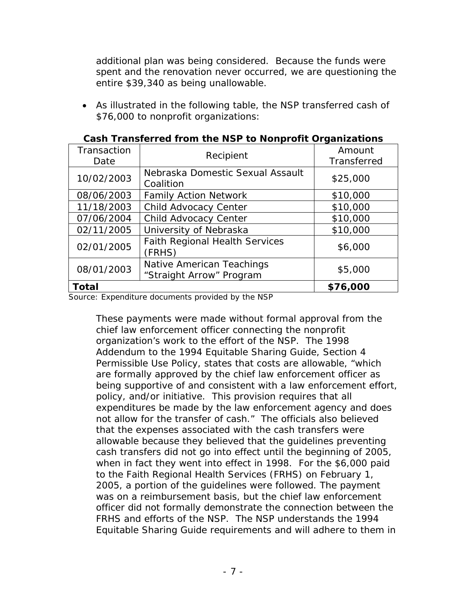additional plan was being considered. Because the funds were spent and the renovation never occurred, we are questioning the entire \$39,340 as being unallowable.

 As illustrated in the following table, the NSP transferred cash of \$76,000 to nonprofit organizations:

| Transaction<br>Date | Recipient                                             | Amount<br>Transferred |
|---------------------|-------------------------------------------------------|-----------------------|
| 10/02/2003          | Nebraska Domestic Sexual Assault<br>Coalition         | \$25,000              |
| 08/06/2003          | <b>Family Action Network</b>                          | \$10,000              |
| 11/18/2003          | Child Advocacy Center                                 | \$10,000              |
| 07/06/2004          | Child Advocacy Center                                 | \$10,000              |
| 02/11/2005          | University of Nebraska                                | \$10,000              |
| 02/01/2005          | <b>Faith Regional Health Services</b><br>(FRHS)       | \$6,000               |
| 08/01/2003          | Native American Teachings<br>"Straight Arrow" Program | \$5,000               |
| Total               |                                                       | \$76,000              |

#### **Cash Transferred from the NSP to Nonprofit Organizations**

Source: Expenditure documents provided by the NSP

These payments were made without formal approval from the chief law enforcement officer connecting the nonprofit organization's work to the effort of the NSP. The 1998 Addendum to the 1994 Equitable Sharing Guide*,* Section 4 Permissible Use Policy, states that costs are allowable, "which are formally approved by the chief law enforcement officer as being supportive of and consistent with a law enforcement effort, policy, and/or initiative. This provision requires that all expenditures be made by the law enforcement agency and does not allow for the transfer of cash." The officials also believed that the expenses associated with the cash transfers were allowable because they believed that the guidelines preventing cash transfers did not go into effect until the beginning of 2005, when in fact they went into effect in 1998. For the \$6,000 paid to the Faith Regional Health Services (FRHS) on February 1, 2005, a portion of the guidelines were followed. The payment was on a reimbursement basis, but the chief law enforcement officer did not formally demonstrate the connection between the FRHS and efforts of the NSP. The NSP understands the 1994 Equitable Sharing Guide requirements and will adhere to them in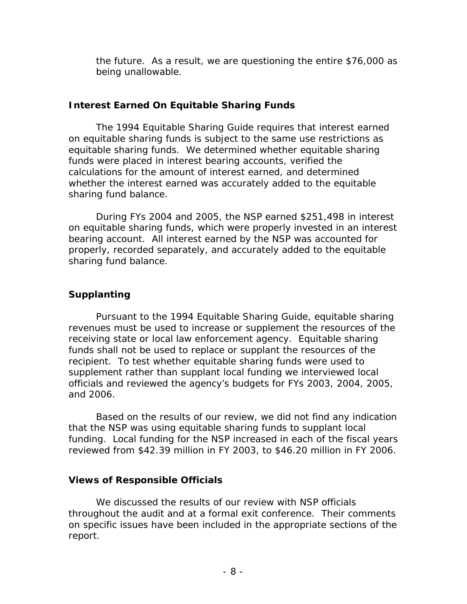the future. As a result, we are questioning the entire \$76,000 as being unallowable.

#### **Interest Earned On Equitable Sharing Funds**

The 1994 Equitable Sharing Guide requires that interest earned on equitable sharing funds is subject to the same use restrictions as equitable sharing funds. We determined whether equitable sharing funds were placed in interest bearing accounts, verified the calculations for the amount of interest earned, and determined whether the interest earned was accurately added to the equitable sharing fund balance.

During FYs 2004 and 2005, the NSP earned \$251,498 in interest on equitable sharing funds, which were properly invested in an interest bearing account. All interest earned by the NSP was accounted for properly, recorded separately, and accurately added to the equitable sharing fund balance.

## **Supplanting**

Pursuant to the 1994 Equitable Sharing Guide, equitable sharing revenues must be used to increase or supplement the resources of the receiving state or local law enforcement agency. Equitable sharing funds shall not be used to replace or supplant the resources of the recipient. To test whether equitable sharing funds were used to supplement rather than supplant local funding we interviewed local officials and reviewed the agency's budgets for FYs 2003, 2004, 2005, and 2006.

Based on the results of our review, we did not find any indication that the NSP was using equitable sharing funds to supplant local funding. Local funding for the NSP increased in each of the fiscal years reviewed from \$42.39 million in FY 2003, to \$46.20 million in FY 2006.

## **Views of Responsible Officials**

We discussed the results of our review with NSP officials throughout the audit and at a formal exit conference. Their comments on specific issues have been included in the appropriate sections of the report.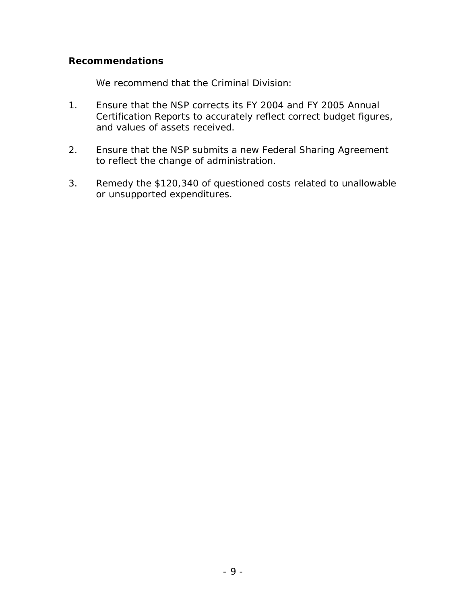#### **Recommendations**

We recommend that the Criminal Division:

- 1. Ensure that the NSP corrects its FY 2004 and FY 2005 Annual Certification Reports to accurately reflect correct budget figures, and values of assets received.
- 2. Ensure that the NSP submits a new Federal Sharing Agreement to reflect the change of administration.
- 3. Remedy the \$120,340 of questioned costs related to unallowable or unsupported expenditures.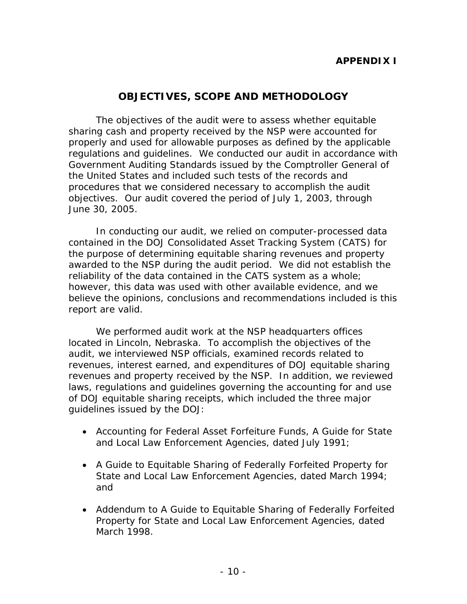#### **APPENDIX I**

#### **OBJECTIVES, SCOPE AND METHODOLOGY**

The objectives of the audit were to assess whether equitable sharing cash and property received by the NSP were accounted for properly and used for allowable purposes as defined by the applicable regulations and guidelines. We conducted our audit in accordance with *Government Auditing Standards* issued by the Comptroller General of the United States and included such tests of the records and procedures that we considered necessary to accomplish the audit objectives. Our audit covered the period of July 1, 2003, through June 30, 2005.

In conducting our audit, we relied on computer-processed data contained in the DOJ Consolidated Asset Tracking System (CATS) for the purpose of determining equitable sharing revenues and property awarded to the NSP during the audit period. We did not establish the reliability of the data contained in the CATS system as a whole; however, this data was used with other available evidence, and we believe the opinions, conclusions and recommendations included is this report are valid.

We performed audit work at the NSP headquarters offices located in Lincoln, Nebraska. To accomplish the objectives of the audit, we interviewed NSP officials, examined records related to revenues, interest earned, and expenditures of DOJ equitable sharing revenues and property received by the NSP. In addition, we reviewed laws, regulations and guidelines governing the accounting for and use of DOJ equitable sharing receipts, which included the three major guidelines issued by the DOJ:

- *Accounting for Federal Asset Forfeiture Funds, A Guide for State and Local Law Enforcement Agencies*, dated July 1991;
- *A Guide to Equitable Sharing of Federally Forfeited Property for State and Local Law Enforcement Agencies*, dated March 1994; and
- *Addendum to A Guide to Equitable Sharing of Federally Forfeited Property for State and Local Law Enforcement Agencies*, dated March 1998.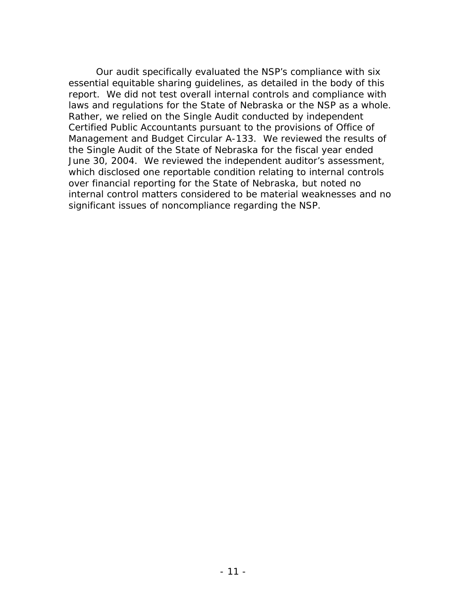significant issues of noncompliance regarding the NSP. Our audit specifically evaluated the NSP's compliance with six essential equitable sharing guidelines, as detailed in the body of this report. We did not test overall internal controls and compliance with laws and regulations for the State of Nebraska or the NSP as a whole. Rather, we relied on the Single Audit conducted by independent Certified Public Accountants pursuant to the provisions of Office of Management and Budget Circular A-133. We reviewed the results of the Single Audit of the State of Nebraska for the fiscal year ended June 30, 2004. We reviewed the independent auditor's assessment, which disclosed one reportable condition relating to internal controls over financial reporting for the State of Nebraska, but noted no internal control matters considered to be material weaknesses and no significant issues of noncompliance regarding the NSP.<br>
- 11 -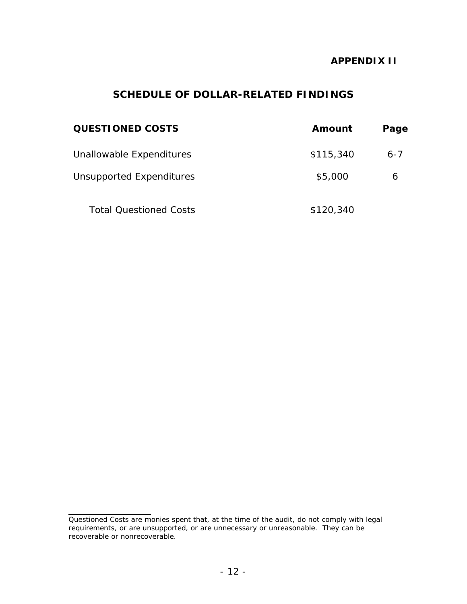#### **APPENDIX II**

# **SCHEDULE OF DOLLAR-RELATED FINDINGS**

| <b>QUESTIONED COSTS</b>         | Amount    | Page    |
|---------------------------------|-----------|---------|
| Unallowable Expenditures        | \$115,340 | $6 - 7$ |
| <b>Unsupported Expenditures</b> | \$5,000   | 6       |
| <b>Total Questioned Costs</b>   | \$120,340 |         |

l

Questioned Costs are monies spent that, at the time of the audit, do not comply with legal requirements, or are unsupported, or are unnecessary or unreasonable. They can be recoverable or nonrecoverable.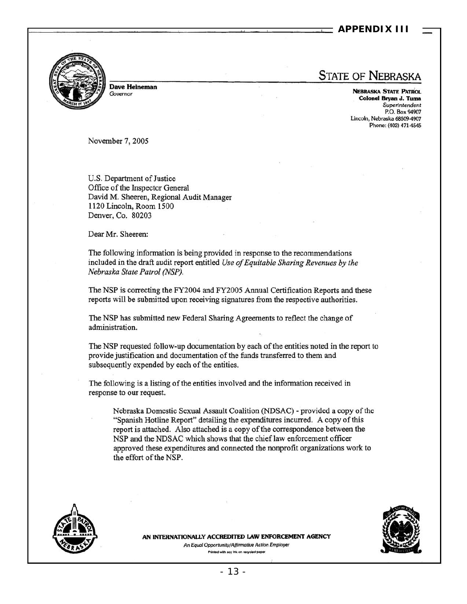#### **APPENDIX III**



Dave HeIneman *Governor* 

# STATE OF NEBRASKA

NEBRASKA STATE PATROL CoJoneI Bryan J. Yuma *Superintendent*  P.O. Box 94907 Lincoln, Nebraska 68509-4907 Phone: (402) 471-4545

November 7, 2005

U.S. Department of Justice Office of the Inspector General David M. Sheeren, Regional Audit Manager 1120 Lincoln, Room 1500 Denver, Co. 80203

Dear Mr. Sheeren:

The following information is being provided in response to the recommendations included in the draft audit report entitled *Use of Equitable Sharing Revenues by the Nebraska State Patrol (NSP).* 

The NSP is correcting the FY2004 and FY2005 Annual Certification Reports and these reports will be submitted upon receiving signatures from the respective authorities.

The NSP has submitted new Federal Sharing Agreements to reflect the change of administration.

The NSP requested follow-up documentation by each of the entities noted in the report to provide justification and documentation of the funds transferred to them and subsequently expended by each of the entities.

The following is a listing of the entities involved and the information received in response to our request.

Nebraska Domestic Sexual Assault Coalition (NDSAC) - provided a copy of the "Spanish Hotline Report" detailing the expenditures incurred. A copy of this report is attached. Also attached is a copy of the correspondence between the NSP and the NDSAC which shows that the chief law enforcement officer approved these expenditures and connected the nonprofit organizations work to the effort of the NSP.





AN INTERNATIONALLY ACCREDITED LAW ENFORCEMENT AGENCY *An Equal Opportunity/Affirmative Action Employer*<br>Printed with soy ink on recycled paper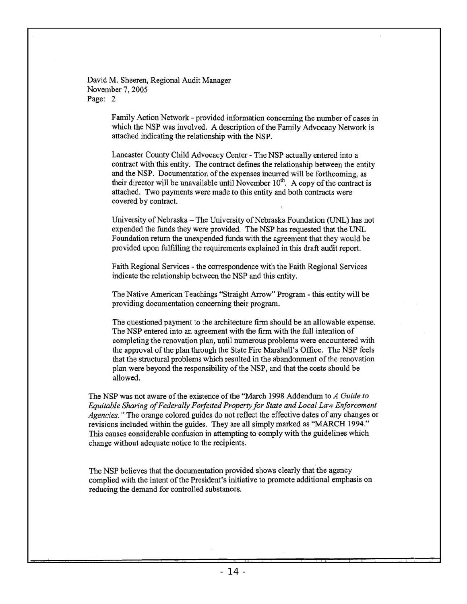David M. Sheeren, Regional Audit Manager November 7, 2005 Page: 2

> Family Action Network - provided information concerning the number of cases in which the NSP was involved. A description of the Family Advocacy Network is attached indicating the relationship with the NSP.

Lancaster County Child Advocacy Center - The NSP actually entered into a contract with this entity. The contract defines the relationship between the entity and the NSP. Documentation of the expenses incurred will be forthcoming, as their director will be unavailable until November  $10<sup>th</sup>$ . A copy of the contract is attached. Two payments were made to this entity and both contracts were covered by contract.

University of Nebraska - The University of Nebraska Foundation (UNL) has not expended the funds they were provided. The NSP has requested that the UNL Foundation return the unexpended funds with the agreement that they would be provided upon fulfilling the requirements explained in this draft audit report.

Faith Regional Services - the correspondence with the Faith Regional Services indicate the relationship between the NSP and this entity.

The Native American Teachings "Straight Arrow" Program - this entity will be providing documentation concerning their program.

The questioned payment to the architecture firm should be an allowable expense. The NSP entered into an agreement with the firm with the full intention of completing the renovation plan, until numerous problems were encountered with the approval of the plan through the State Fire Marshall's Office. The NSP feels that the structural problems which resulted in the abandorunent of the renovation plan were beyond the responsibility of the NSP, and that the costs should be allowed.

The NSP was not aware of the existence of the "March 1998 Addendum to *A Guide to Equirable Sharing of Federally Forfeited Property for Stare and Local Law Enforcement Agencies.* " The orange colored guides do not reflect the effective dates of any changes or revisions included within the guides. They are all simply marked as "MARCH 1994." This causes considerable confusion in attempting to comply with the guidelines which change without adequate notice to the recipients.

The NSP believes that the documentation provided shows clearly that the agency complied with the intent of the President'S initiative to promote additional emphasis on reducing the demand for controlled substances.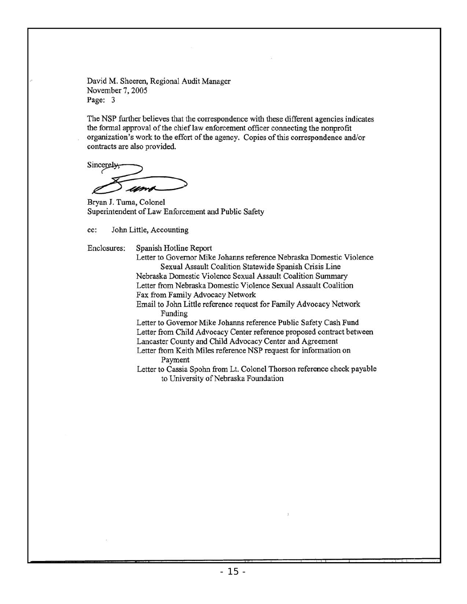David M. Sheeren, Regional Audit Manager November 7, 2005 Page: 3

The NSP further believes that the correspondence with these different agencies indicates the formal approval of the chief law enforcement officer connecting the nonprofit organization's work to the effort of the agency. Copies of this correspondence and/or contracts are also provided.

Sincerely  $>$  and  $>$ 

Bryan J. Tuma, Colonel Superintendent of Law Enforcement and Public Safety

cc: John Little, Accounting

Enclosures: Spanish Hotline Report

Letter to Governor Mike Johanns reference Nebraska Domestic Violence Sexual Assault Coalition Statewide Spanish Crisis Line

Nebraska Domestic Violence Sexual Assault Coalition Summary Letter from Nebraska Domestic Violence Sexual Assault Coalition Fax from Family Advocacy Network

Email to John Little reference request for Family Advocacy Network Funding

Letter to Governor Mike Johanns reference Public Safety Cash Fund Letter from Child Advocacy Center reference proposed contract between Lancaster County and Child Advocacy Center and Agreement

Letter from Keith Miles reference NSP request for information on Payment

Letter to Cassia Spohn from Lt. Colonel Thorson reference check payable to University of Nebraska Foundation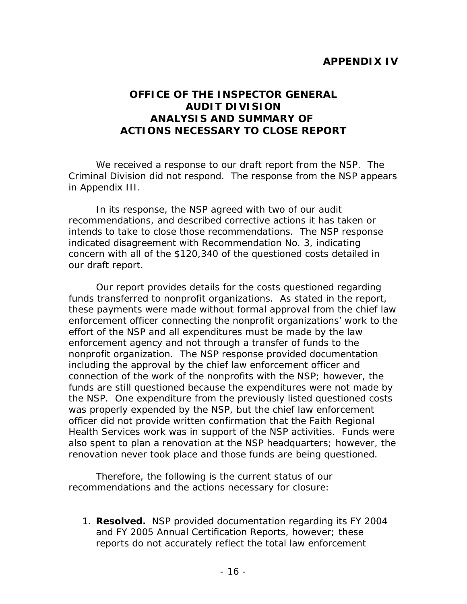## **APPENDIX IV**

## **OFFICE OF THE INSPECTOR GENERAL AUDIT DIVISION ANALYSIS AND SUMMARY OF ACTIONS NECESSARY TO CLOSE REPORT**

We received a response to our draft report from the NSP. The Criminal Division did not respond. The response from the NSP appears in Appendix III.

In its response, the NSP agreed with two of our audit recommendations, and described corrective actions it has taken or intends to take to close those recommendations. The NSP response indicated disagreement with Recommendation No. 3, indicating concern with all of the \$120,340 of the questioned costs detailed in our draft report.

Our report provides details for the costs questioned regarding funds transferred to nonprofit organizations. As stated in the report, these payments were made without formal approval from the chief law enforcement officer connecting the nonprofit organizations' work to the effort of the NSP and all expenditures must be made by the law enforcement agency and not through a transfer of funds to the nonprofit organization. The NSP response provided documentation including the approval by the chief law enforcement officer and connection of the work of the nonprofits with the NSP; however, the funds are still questioned because the expenditures were not made by the NSP. One expenditure from the previously listed questioned costs was properly expended by the NSP, but the chief law enforcement officer did not provide written confirmation that the Faith Regional Health Services work was in support of the NSP activities. Funds were also spent to plan a renovation at the NSP headquarters; however, the renovation never took place and those funds are being questioned.

Therefore, the following is the current status of our recommendations and the actions necessary for closure:

1. **Resolved.** NSP provided documentation regarding its FY 2004 and FY 2005 Annual Certification Reports, however; these reports do not accurately reflect the total law enforcement